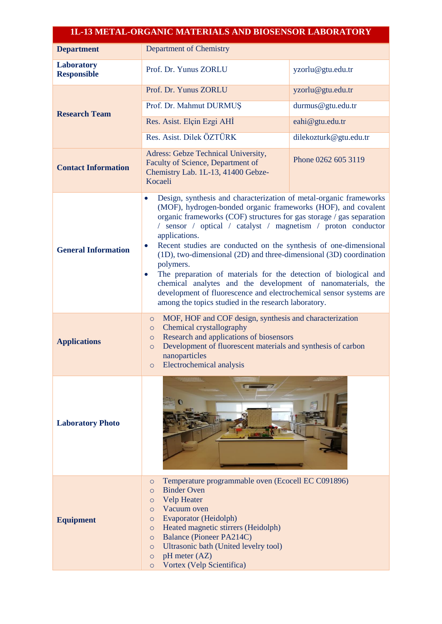## **1L-13 METAL-ORGANIC MATERIALS AND BIOSENSOR LABORATORY**

| <b>Department</b>                | Department of Chemistry                                                                                                                                                                                                                                                                                                                                                                                                                                                                                                                                                                                                                                                                                                                                     |                        |
|----------------------------------|-------------------------------------------------------------------------------------------------------------------------------------------------------------------------------------------------------------------------------------------------------------------------------------------------------------------------------------------------------------------------------------------------------------------------------------------------------------------------------------------------------------------------------------------------------------------------------------------------------------------------------------------------------------------------------------------------------------------------------------------------------------|------------------------|
| Laboratory<br><b>Responsible</b> | Prof. Dr. Yunus ZORLU                                                                                                                                                                                                                                                                                                                                                                                                                                                                                                                                                                                                                                                                                                                                       | yzorlu@gtu.edu.tr      |
| <b>Research Team</b>             | Prof. Dr. Yunus ZORLU                                                                                                                                                                                                                                                                                                                                                                                                                                                                                                                                                                                                                                                                                                                                       | yzorlu@gtu.edu.tr      |
|                                  | Prof. Dr. Mahmut DURMUŞ                                                                                                                                                                                                                                                                                                                                                                                                                                                                                                                                                                                                                                                                                                                                     | durmus@gtu.edu.tr      |
|                                  | Res. Asist. Elçin Ezgi AHİ                                                                                                                                                                                                                                                                                                                                                                                                                                                                                                                                                                                                                                                                                                                                  | eahi@gtu.edu.tr        |
|                                  | Res. Asist. Dilek ÖZTÜRK                                                                                                                                                                                                                                                                                                                                                                                                                                                                                                                                                                                                                                                                                                                                    | dilekozturk@gtu.edu.tr |
| <b>Contact Information</b>       | Adress: Gebze Technical University,<br>Faculty of Science, Department of<br>Chemistry Lab. 1L-13, 41400 Gebze-<br>Kocaeli                                                                                                                                                                                                                                                                                                                                                                                                                                                                                                                                                                                                                                   | Phone 0262 605 3119    |
| <b>General Information</b>       | Design, synthesis and characterization of metal-organic frameworks<br>$\bullet$<br>(MOF), hydrogen-bonded organic frameworks (HOF), and covalent<br>organic frameworks (COF) structures for gas storage / gas separation<br>/ sensor / optical / catalyst / magnetism / proton conductor<br>applications.<br>Recent studies are conducted on the synthesis of one-dimensional<br>$\bullet$<br>(1D), two-dimensional (2D) and three-dimensional (3D) coordination<br>polymers.<br>The preparation of materials for the detection of biological and<br>$\bullet$<br>chemical analytes and the development of nanomaterials, the<br>development of fluorescence and electrochemical sensor systems are<br>among the topics studied in the research laboratory. |                        |
| <b>Applications</b>              | MOF, HOF and COF design, synthesis and characterization<br>$\circ$<br>Chemical crystallography<br>$\circ$<br>Research and applications of biosensors<br>$\circ$<br>Development of fluorescent materials and synthesis of carbon<br>$\circ$<br>nanoparticles<br>Electrochemical analysis<br>$\circ$                                                                                                                                                                                                                                                                                                                                                                                                                                                          |                        |
| <b>Laboratory Photo</b>          |                                                                                                                                                                                                                                                                                                                                                                                                                                                                                                                                                                                                                                                                                                                                                             |                        |
| <b>Equipment</b>                 | Temperature programmable oven (Ecocell EC C091896)<br>$\circ$<br><b>Binder Oven</b><br>$\circ$<br><b>Velp Heater</b><br>$\circ$<br>Vacuum oven<br>$\circ$<br>Evaporator (Heidolph)<br>$\circ$<br>Heated magnetic stirrers (Heidolph)<br>$\circ$<br><b>Balance (Pioneer PA214C)</b><br>$\circ$<br>Ultrasonic bath (United levelry tool)<br>$\circ$<br>pH meter (AZ)<br>$\circ$<br>Vortex (Velp Scientifica)<br>$\circ$                                                                                                                                                                                                                                                                                                                                       |                        |